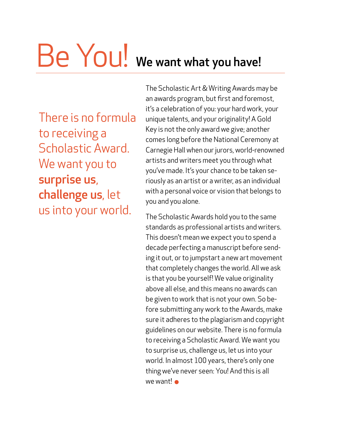# Be You! We want what you have!

There is no formula to receiving a Scholastic Award. We want you to surprise us, challenge us, let us into your world.

The Scholastic Art & Writing Awards may be an awards program, but first and foremost, it's a celebration of you: your hard work, your unique talents, and your originality! A Gold Key is not the only award we give; another comes long before the National Ceremony at Carnegie Hall when our jurors, world-renowned artists and writers meet you through what you've made. It's your chance to be taken seriously as an artist or a writer, as an individual with a personal voice or vision that belongs to you and you alone.

The Scholastic Awards hold you to the same standards as professional artists and writers. This doesn't mean we expect you to spend a decade perfecting a manuscript before sending it out, or to jumpstart a new art movement that completely changes the world. All we ask is that you be yourself! We value originality above all else, and this means no awards can be given to work that is not your own. So before submiting any work to the Awards, make sure it adheres to the plagiarism and copyright guidelines on our website. There is no formula to receiving a Scholastic Award. We want you to surprise us, challenge us, let us into your world. In almost 100 years, there's only one thing we've never seen: You! And this is all we want! •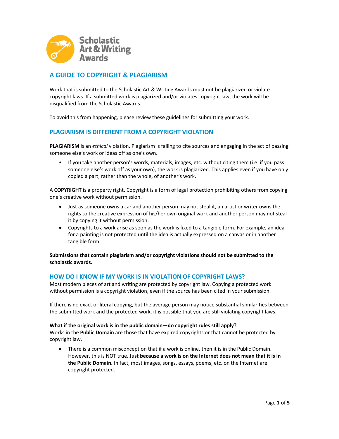

# **A GUIDE TO COPYRIGHT & PLAGIARISM**

Work that is submitted to the Scholastic Art & Writing Awards must not be plagiarized or violate copyright laws. If a submitted work is plagiarized and/or violates copyright law, the work will be disqualified from the Scholastic Awards.

To avoid this from happening, please review these guidelines for submitting your work.

### **PLAGIARISM IS DIFFERENT FROM A COPYRIGHT VIOLATION**

**PLAGIARISM** is an *ethical* violation. Plagiarism is failing to cite sources and engaging in the act of passing someone else's work or ideas off as one's own.

• If you take another person's words, materials, images, etc. without citing them (i.e. if you pass someone else's work off as your own), the work is plagiarized. This applies even if you have only copied a part, rather than the whole, of another's work.

A **COPYRIGHT** is a property right. Copyright is a form of legal protection prohibiting others from copying one's creative work without permission.

- Just as someone owns a car and another person may not steal it, an artist or writer owns the rights to the creative expression of his/her own original work and another person may not steal it by copying it without permission.
- Copyrights to a work arise as soon as the work is fixed to a tangible form. For example, an idea for a painting is not protected until the idea is actually expressed on a canvas or in another tangible form.

**Submissions that contain plagiarism and/or copyright violations should not be submitted to the scholastic awards.**

### **HOW DO I KNOW IF MY WORK IS IN VIOLATION OF COPYRIGHT LAWS?**

Most modern pieces of art and writing are protected by copyright law. Copying a protected work without permission is a copyright violation, even if the source has been cited in your submission.

If there is no exact or literal copying, but the average person may notice substantial similarities between the submitted work and the protected work, it is possible that you are still violating copyright laws.

### **What if the original work is in the public domain—do copyright rules still apply?**

Works in the **Public Domain** are those that have expired copyrights or that cannot be protected by copyright law.

• There is a common misconception that if a work is online, then it is in the Public Domain. However, this is NOT true. **Just because a work is on the Internet does not mean that it is in the Public Domain.** In fact, most images, songs, essays, poems, etc. on the Internet are copyright protected.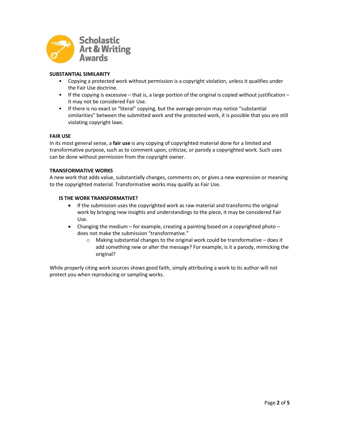

### **SUBSTANTIAL SIMILARITY**

- Copying a protected work without permission is a copyright violation, unless it qualifies under the Fair Use doctrine.
- If the copying is excessive that is, a large portion of the original is copied without justification it may not be considered Fair Use.
- If there is no exact or "literal" copying, but the average person may notice "substantial similarities" between the submitted work and the protected work, it is possible that you are still violating copyright laws.

### **FAIR USE**

In its most general sense, a **fair use** is any copying of copyrighted material done for a limited and transformative purpose, such as to comment upon, criticize, or parody a copyrighted work. Such uses can be done without permission from the copyright owner.

### **TRANSFORMATIVE WORKS**

A new work that adds value, substantially changes, comments on, or gives a new expression or meaning to the copyrighted material. Transformative works may qualify as Fair Use.

### **IS THE WORK TRANSFORMATIVE?**

- If the submission uses the copyrighted work as raw material and transforms the original work by bringing new insights and understandings to the piece, it may be considered Fair Use.
- Changing the medium for example, creating a painting based on a copyrighted photo does not make the submission "transformative."
	- $\circ$  Making substantial changes to the original work could be transformative does it add something new or alter the message? For example, is it a parody, mimicking the original?

While properly citing work sources shows good faith, simply attributing a work to its author will not protect you when reproducing or sampling works.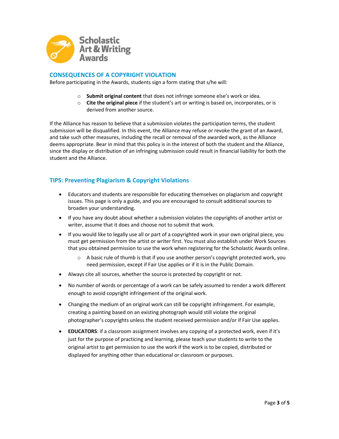

# **CONSEQUENCES OF A COPYRIGHT VIOLATION**

Before participating in the Awards, students sign a form stating that s/he will:

- o **Submit original content** that does not infringe someone else's work or idea.
- o **Cite the original piece** if the student's art or writing is based on, incorporates, or is derived from another source.

If the Alliance has reason to believe that a submission violates the participation terms, the student submission will be disqualified. In this event, the Alliance may refuse or revoke the grant of an Award, and take such other measures, including the recall or removal of the awarded work, as the Alliance deems appropriate. Bear in mind that this policy is in the interest of both the student and the Alliance, since the display or distribution of an infringing submission could result in financial liability for both the student and the Alliance.

# **TIPS: Preventing Plagiarism & Copyright Violations**

- Educators and students are responsible for educating themselves on plagiarism and copyright issues. This page is only a guide, and you are encouraged to consult additional sources to broaden your understanding.
- If you have any doubt about whether a submission violates the copyrights of another artist or writer, assume that it does and choose not to submit that work.
- If you would like to legally use all or part of a copyrighted work in your own original piece, you must get permission from the artist or writer first. You must also establish under Work Sources that you obtained permission to use the work when registering for the Scholastic Awards online.
	- $\circ$  A basic rule of thumb is that if you use another person's copyright protected work, you need permission, except if Fair Use applies or if it is in the Public Domain.
- Always cite all sources, whether the source is protected by copyright or not.
- No number of words or percentage of a work can be safely assumed to render a work different enough to avoid copyright infringement of the original work.
- Changing the medium of an original work can still be copyright infringement. For example, creating a painting based on an existing photograph would still violate the original photographer's copyrights unless the student received permission and/or if Fair Use applies.
- **EDUCATORS**: if a classroom assignment involves any copying of a protected work, even if it's just for the purpose of practicing and learning, please teach your students to write to the original artist to get permission to use the work if the work is to be copied, distributed or displayed for anything other than educational or classroom or purposes.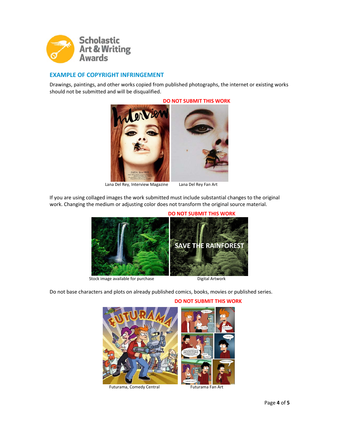

# **EXAMPLE OF COPYRIGHT INFRINGEMENT**

Drawings, paintings, and other works copied from published photographs, the internet or existing works should not be submitted and will be disqualified.



Lana Del Rey, Interview Magazine Lana Del Rey Fan Art

If you are using collaged images the work submitted must include substantial changes to the original work. Changing the medium or adjusting color does not transform the original source material.



**Stock image available for purchase Digital Artwork** 

Do not base characters and plots on already published comics, books, movies or published series.



Futurama, Comedy Central Futurama Fan Art

### **DO NOT SUBMIT THIS WORK**